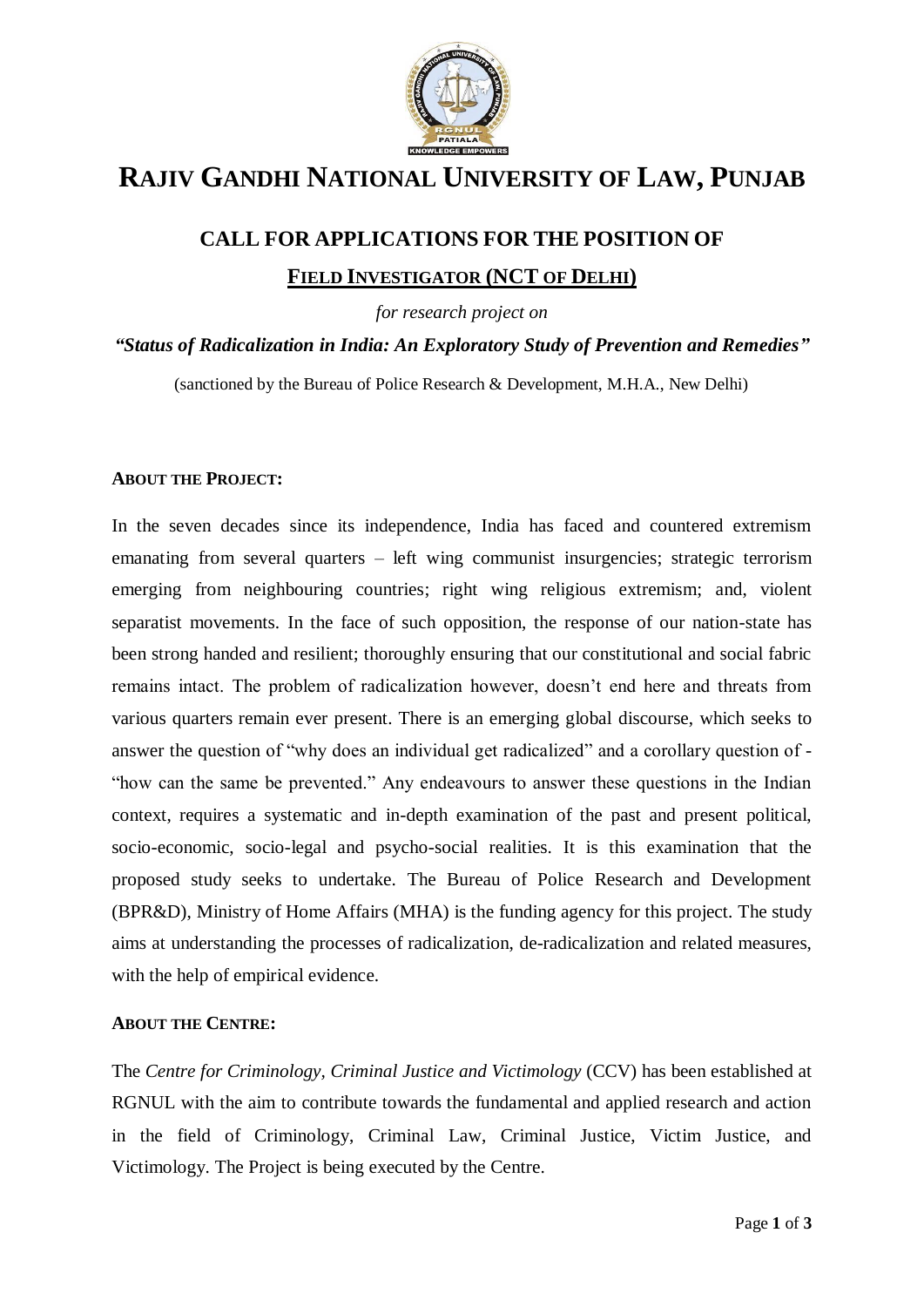

## **RAJIV GANDHI NATIONAL UNIVERSITY OF LAW, PUNJAB**

# **CALL FOR APPLICATIONS FOR THE POSITION OF FIELD INVESTIGATOR (NCT OF DELHI)**

*for research project on*

*"Status of Radicalization in India: An Exploratory Study of Prevention and Remedies"*

(sanctioned by the Bureau of Police Research & Development, M.H.A., New Delhi)

#### **ABOUT THE PROJECT:**

In the seven decades since its independence, India has faced and countered extremism emanating from several quarters – left wing communist insurgencies; strategic terrorism emerging from neighbouring countries; right wing religious extremism; and, violent separatist movements. In the face of such opposition, the response of our nation-state has been strong handed and resilient; thoroughly ensuring that our constitutional and social fabric remains intact. The problem of radicalization however, doesn't end here and threats from various quarters remain ever present. There is an emerging global discourse, which seeks to answer the question of "why does an individual get radicalized" and a corollary question of - "how can the same be prevented." Any endeavours to answer these questions in the Indian context, requires a systematic and in-depth examination of the past and present political, socio-economic, socio-legal and psycho-social realities. It is this examination that the proposed study seeks to undertake. The Bureau of Police Research and Development (BPR&D), Ministry of Home Affairs (MHA) is the funding agency for this project. The study aims at understanding the processes of radicalization, de-radicalization and related measures, with the help of empirical evidence.

#### **ABOUT THE CENTRE:**

The *Centre for Criminology, Criminal Justice and Victimology* (CCV) has been established at RGNUL with the aim to contribute towards the fundamental and applied research and action in the field of Criminology, Criminal Law, Criminal Justice, Victim Justice, and Victimology. The Project is being executed by the Centre.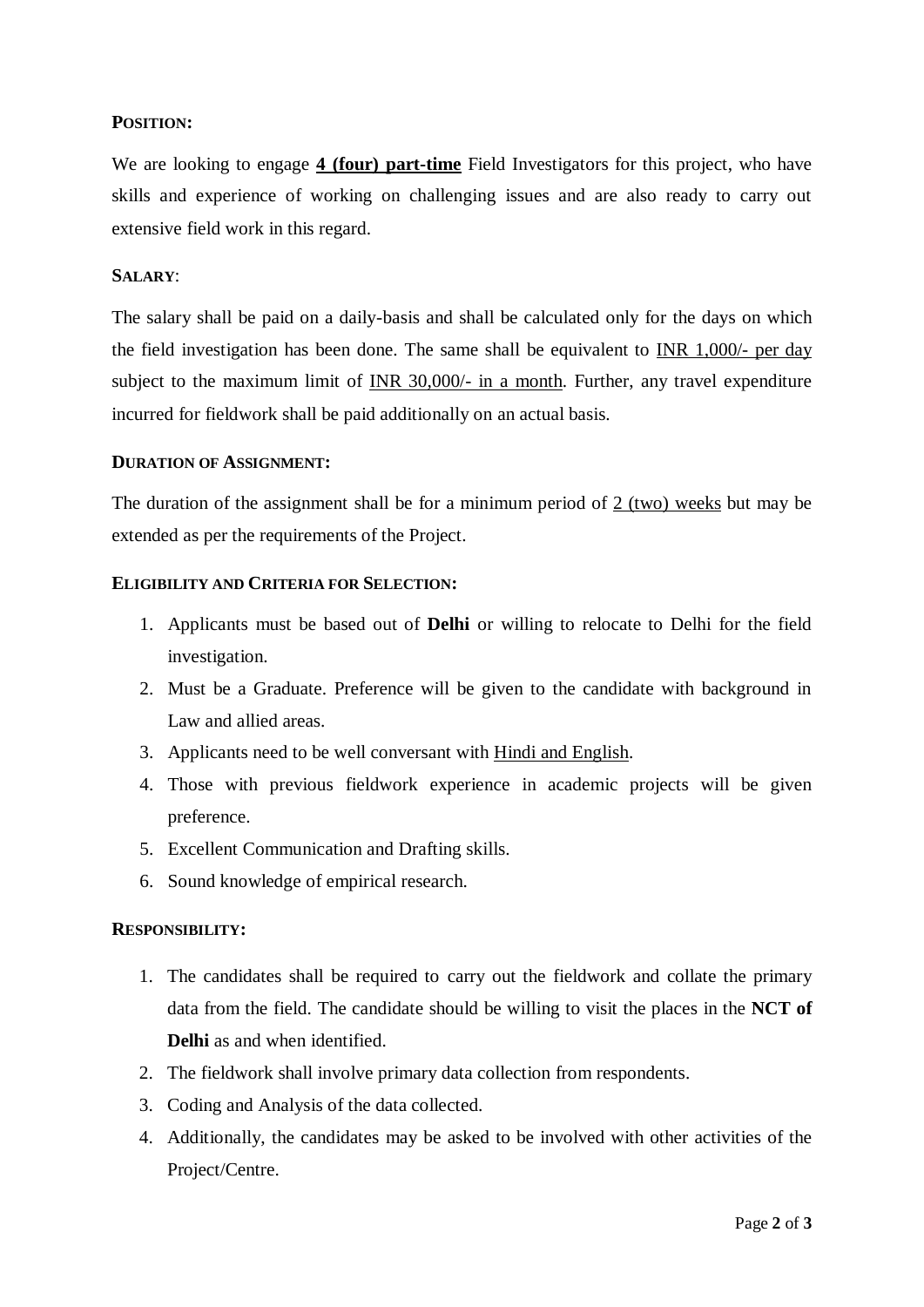## **POSITION:**

We are looking to engage **4 (four) part-time** Field Investigators for this project, who have skills and experience of working on challenging issues and are also ready to carry out extensive field work in this regard.

#### **SALARY**:

The salary shall be paid on a daily-basis and shall be calculated only for the days on which the field investigation has been done. The same shall be equivalent to INR 1,000/- per day subject to the maximum limit of INR 30,000/- in a month. Further, any travel expenditure incurred for fieldwork shall be paid additionally on an actual basis.

#### **DURATION OF ASSIGNMENT:**

The duration of the assignment shall be for a minimum period of 2 (two) weeks but may be extended as per the requirements of the Project.

## **ELIGIBILITY AND CRITERIA FOR SELECTION:**

- 1. Applicants must be based out of **Delhi** or willing to relocate to Delhi for the field investigation.
- 2. Must be a Graduate. Preference will be given to the candidate with background in Law and allied areas.
- 3. Applicants need to be well conversant with Hindi and English.
- 4. Those with previous fieldwork experience in academic projects will be given preference.
- 5. Excellent Communication and Drafting skills.
- 6. Sound knowledge of empirical research.

#### **RESPONSIBILITY:**

- 1. The candidates shall be required to carry out the fieldwork and collate the primary data from the field. The candidate should be willing to visit the places in the **NCT of Delhi** as and when identified.
- 2. The fieldwork shall involve primary data collection from respondents.
- 3. Coding and Analysis of the data collected.
- 4. Additionally, the candidates may be asked to be involved with other activities of the Project/Centre.